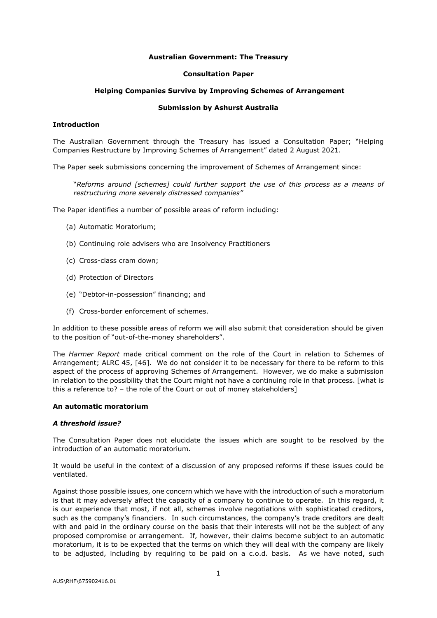## **Australian Government: The Treasury**

#### **Consultation Paper**

#### **Helping Companies Survive by Improving Schemes of Arrangement**

### **Submission by Ashurst Australia**

# **Introduction**

The Australian Government through the Treasury has issued a Consultation Paper; "Helping Companies Restructure by Improving Schemes of Arrangement" dated 2 August 2021.

The Paper seek submissions concerning the improvement of Schemes of Arrangement since:

"*Reforms around [schemes] could further support the use of this process as a means of restructuring more severely distressed companies"*

The Paper identifies a number of possible areas of reform including:

- (a) Automatic Moratorium;
- (b) Continuing role advisers who are Insolvency Practitioners
- (c) Cross-class cram down;
- (d) Protection of Directors
- (e) "Debtor-in-possession" financing; and
- (f) Cross-border enforcement of schemes.

In addition to these possible areas of reform we will also submit that consideration should be given to the position of "out-of-the-money shareholders".

The *Harmer Report* made critical comment on the role of the Court in relation to Schemes of Arrangement; ALRC 45, [46]. We do not consider it to be necessary for there to be reform to this aspect of the process of approving Schemes of Arrangement. However, we do make a submission in relation to the possibility that the Court might not have a continuing role in that process. [what is this a reference to? – the role of the Court or out of money stakeholders]

### **An automatic moratorium**

### *A threshold issue?*

The Consultation Paper does not elucidate the issues which are sought to be resolved by the introduction of an automatic moratorium.

It would be useful in the context of a discussion of any proposed reforms if these issues could be ventilated.

Against those possible issues, one concern which we have with the introduction of such a moratorium is that it may adversely affect the capacity of a company to continue to operate. In this regard, it is our experience that most, if not all, schemes involve negotiations with sophisticated creditors, such as the company's financiers. In such circumstances, the company's trade creditors are dealt with and paid in the ordinary course on the basis that their interests will not be the subject of any proposed compromise or arrangement. If, however, their claims become subject to an automatic moratorium, it is to be expected that the terms on which they will deal with the company are likely to be adjusted, including by requiring to be paid on a c.o.d. basis. As we have noted, such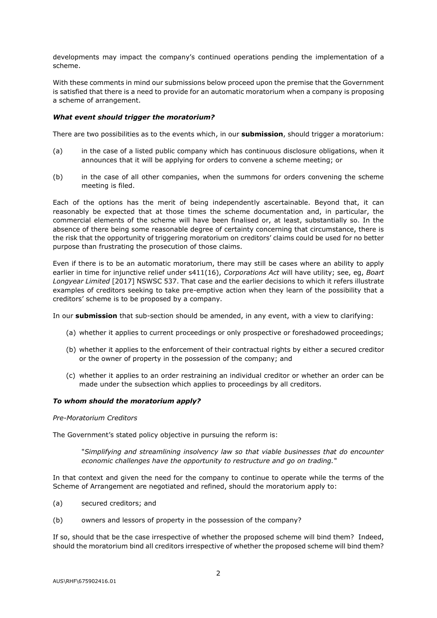developments may impact the company's continued operations pending the implementation of a scheme.

With these comments in mind our submissions below proceed upon the premise that the Government is satisfied that there is a need to provide for an automatic moratorium when a company is proposing a scheme of arrangement.

## *What event should trigger the moratorium?*

There are two possibilities as to the events which, in our **submission**, should trigger a moratorium:

- (a) in the case of a listed public company which has continuous disclosure obligations, when it announces that it will be applying for orders to convene a scheme meeting; or
- (b) in the case of all other companies, when the summons for orders convening the scheme meeting is filed.

Each of the options has the merit of being independently ascertainable. Beyond that, it can reasonably be expected that at those times the scheme documentation and, in particular, the commercial elements of the scheme will have been finalised or, at least, substantially so. In the absence of there being some reasonable degree of certainty concerning that circumstance, there is the risk that the opportunity of triggering moratorium on creditors' claims could be used for no better purpose than frustrating the prosecution of those claims.

Even if there is to be an automatic moratorium, there may still be cases where an ability to apply earlier in time for injunctive relief under s411(16), *Corporations Act* will have utility; see, eg, *Boart Longyear Limited* [2017] NSWSC 537. That case and the earlier decisions to which it refers illustrate examples of creditors seeking to take pre-emptive action when they learn of the possibility that a creditors' scheme is to be proposed by a company.

In our **submission** that sub-section should be amended, in any event, with a view to clarifying:

- (a) whether it applies to current proceedings or only prospective or foreshadowed proceedings;
- (b) whether it applies to the enforcement of their contractual rights by either a secured creditor or the owner of property in the possession of the company; and
- (c) whether it applies to an order restraining an individual creditor or whether an order can be made under the subsection which applies to proceedings by all creditors.

## *To whom should the moratorium apply?*

#### *Pre-Moratorium Creditors*

The Government's stated policy objective in pursuing the reform is:

"*Simplifying and streamlining insolvency law so that viable businesses that do encounter economic challenges have the opportunity to restructure and go on trading.*"

In that context and given the need for the company to continue to operate while the terms of the Scheme of Arrangement are negotiated and refined, should the moratorium apply to:

- (a) secured creditors; and
- (b) owners and lessors of property in the possession of the company?

If so, should that be the case irrespective of whether the proposed scheme will bind them? Indeed, should the moratorium bind all creditors irrespective of whether the proposed scheme will bind them?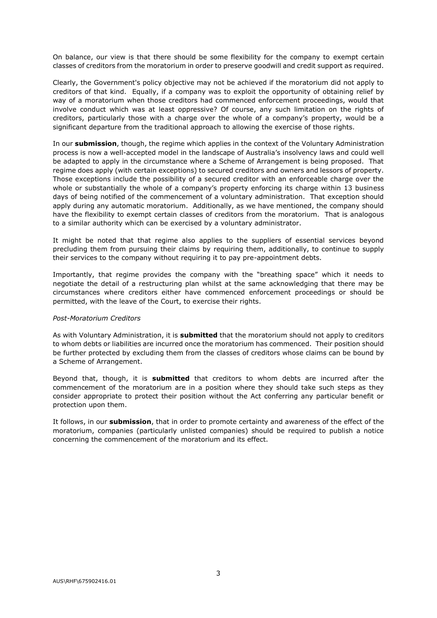On balance, our view is that there should be some flexibility for the company to exempt certain classes of creditors from the moratorium in order to preserve goodwill and credit support as required.

Clearly, the Government's policy objective may not be achieved if the moratorium did not apply to creditors of that kind. Equally, if a company was to exploit the opportunity of obtaining relief by way of a moratorium when those creditors had commenced enforcement proceedings, would that involve conduct which was at least oppressive? Of course, any such limitation on the rights of creditors, particularly those with a charge over the whole of a company's property, would be a significant departure from the traditional approach to allowing the exercise of those rights.

In our **submission**, though, the regime which applies in the context of the Voluntary Administration process is now a well-accepted model in the landscape of Australia's insolvency laws and could well be adapted to apply in the circumstance where a Scheme of Arrangement is being proposed. That regime does apply (with certain exceptions) to secured creditors and owners and lessors of property. Those exceptions include the possibility of a secured creditor with an enforceable charge over the whole or substantially the whole of a company's property enforcing its charge within 13 business days of being notified of the commencement of a voluntary administration. That exception should apply during any automatic moratorium. Additionally, as we have mentioned, the company should have the flexibility to exempt certain classes of creditors from the moratorium. That is analogous to a similar authority which can be exercised by a voluntary administrator.

It might be noted that that regime also applies to the suppliers of essential services beyond precluding them from pursuing their claims by requiring them, additionally, to continue to supply their services to the company without requiring it to pay pre-appointment debts.

Importantly, that regime provides the company with the "breathing space" which it needs to negotiate the detail of a restructuring plan whilst at the same acknowledging that there may be circumstances where creditors either have commenced enforcement proceedings or should be permitted, with the leave of the Court, to exercise their rights.

## *Post-Moratorium Creditors*

As with Voluntary Administration, it is **submitted** that the moratorium should not apply to creditors to whom debts or liabilities are incurred once the moratorium has commenced. Their position should be further protected by excluding them from the classes of creditors whose claims can be bound by a Scheme of Arrangement.

Beyond that, though, it is **submitted** that creditors to whom debts are incurred after the commencement of the moratorium are in a position where they should take such steps as they consider appropriate to protect their position without the Act conferring any particular benefit or protection upon them.

It follows, in our **submission**, that in order to promote certainty and awareness of the effect of the moratorium, companies (particularly unlisted companies) should be required to publish a notice concerning the commencement of the moratorium and its effect.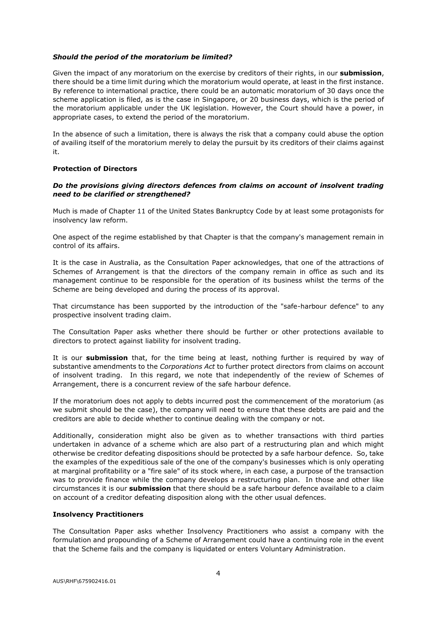## *Should the period of the moratorium be limited?*

Given the impact of any moratorium on the exercise by creditors of their rights, in our **submission**, there should be a time limit during which the moratorium would operate, at least in the first instance. By reference to international practice, there could be an automatic moratorium of 30 days once the scheme application is filed, as is the case in Singapore, or 20 business days, which is the period of the moratorium applicable under the UK legislation. However, the Court should have a power, in appropriate cases, to extend the period of the moratorium.

In the absence of such a limitation, there is always the risk that a company could abuse the option of availing itself of the moratorium merely to delay the pursuit by its creditors of their claims against it.

### **Protection of Directors**

# *Do the provisions giving directors defences from claims on account of insolvent trading need to be clarified or strengthened?*

Much is made of Chapter 11 of the United States Bankruptcy Code by at least some protagonists for insolvency law reform.

One aspect of the regime established by that Chapter is that the company's management remain in control of its affairs.

It is the case in Australia, as the Consultation Paper acknowledges, that one of the attractions of Schemes of Arrangement is that the directors of the company remain in office as such and its management continue to be responsible for the operation of its business whilst the terms of the Scheme are being developed and during the process of its approval.

That circumstance has been supported by the introduction of the "safe-harbour defence" to any prospective insolvent trading claim.

The Consultation Paper asks whether there should be further or other protections available to directors to protect against liability for insolvent trading.

It is our **submission** that, for the time being at least, nothing further is required by way of substantive amendments to the *Corporations Act* to further protect directors from claims on account of insolvent trading. In this regard, we note that independently of the review of Schemes of Arrangement, there is a concurrent review of the safe harbour defence.

If the moratorium does not apply to debts incurred post the commencement of the moratorium (as we submit should be the case), the company will need to ensure that these debts are paid and the creditors are able to decide whether to continue dealing with the company or not.

Additionally, consideration might also be given as to whether transactions with third parties undertaken in advance of a scheme which are also part of a restructuring plan and which might otherwise be creditor defeating dispositions should be protected by a safe harbour defence. So, take the examples of the expeditious sale of the one of the company's businesses which is only operating at marginal profitability or a "fire sale" of its stock where, in each case, a purpose of the transaction was to provide finance while the company develops a restructuring plan. In those and other like circumstances it is our **submission** that there should be a safe harbour defence available to a claim on account of a creditor defeating disposition along with the other usual defences.

#### **Insolvency Practitioners**

The Consultation Paper asks whether Insolvency Practitioners who assist a company with the formulation and propounding of a Scheme of Arrangement could have a continuing role in the event that the Scheme fails and the company is liquidated or enters Voluntary Administration.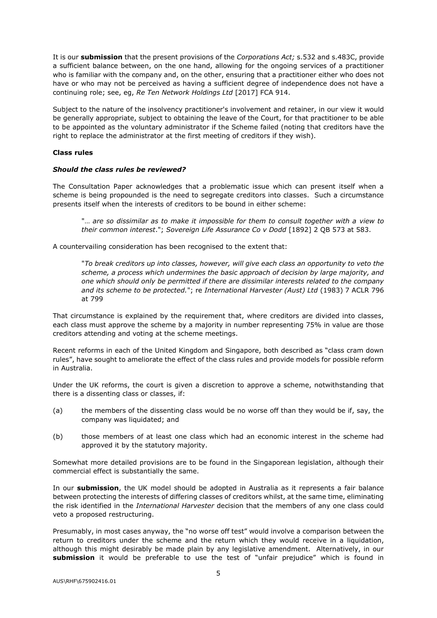It is our **submission** that the present provisions of the *Corporations Act;* s.532 and s.483C, provide a sufficient balance between, on the one hand, allowing for the ongoing services of a practitioner who is familiar with the company and, on the other, ensuring that a practitioner either who does not have or who may not be perceived as having a sufficient degree of independence does not have a continuing role; see, eg, *Re Ten Network Holdings Ltd* [2017] FCA 914.

Subject to the nature of the insolvency practitioner's involvement and retainer, in our view it would be generally appropriate, subject to obtaining the leave of the Court, for that practitioner to be able to be appointed as the voluntary administrator if the Scheme failed (noting that creditors have the right to replace the administrator at the first meeting of creditors if they wish).

# **Class rules**

## *Should the class rules be reviewed?*

The Consultation Paper acknowledges that a problematic issue which can present itself when a scheme is being propounded is the need to segregate creditors into classes. Such a circumstance presents itself when the interests of creditors to be bound in either scheme:

"… *are so dissimilar as to make it impossible for them to consult together with a view to their common interest*."; *Sovereign Life Assurance Co v Dodd* [1892] 2 QB 573 at 583.

A countervailing consideration has been recognised to the extent that:

"*To break creditors up into classes, however, will give each class an opportunity to veto the scheme, a process which undermines the basic approach of decision by large majority, and one which should only be permitted if there are dissimilar interests related to the company and its scheme to be protected.*"; re *International Harvester (Aust) Ltd* (1983) 7 ACLR 796 at 799

That circumstance is explained by the requirement that, where creditors are divided into classes, each class must approve the scheme by a majority in number representing 75% in value are those creditors attending and voting at the scheme meetings.

Recent reforms in each of the United Kingdom and Singapore, both described as "class cram down rules", have sought to ameliorate the effect of the class rules and provide models for possible reform in Australia.

Under the UK reforms, the court is given a discretion to approve a scheme, notwithstanding that there is a dissenting class or classes, if:

- (a) the members of the dissenting class would be no worse off than they would be if, say, the company was liquidated; and
- (b) those members of at least one class which had an economic interest in the scheme had approved it by the statutory majority.

Somewhat more detailed provisions are to be found in the Singaporean legislation, although their commercial effect is substantially the same.

In our **submission**, the UK model should be adopted in Australia as it represents a fair balance between protecting the interests of differing classes of creditors whilst, at the same time, eliminating the risk identified in the *International Harvester* decision that the members of any one class could veto a proposed restructuring.

Presumably, in most cases anyway, the "no worse off test" would involve a comparison between the return to creditors under the scheme and the return which they would receive in a liquidation, although this might desirably be made plain by any legislative amendment. Alternatively, in our **submission** it would be preferable to use the test of "unfair prejudice" which is found in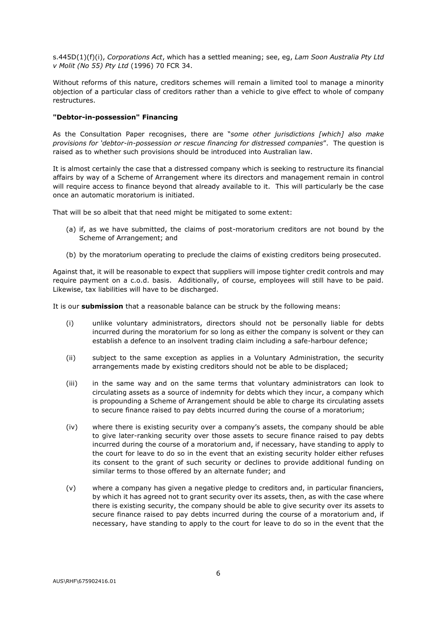s.445D(1)(f)(i), *Corporations Act*, which has a settled meaning; see, eg, *Lam Soon Australia Pty Ltd v Molit (No 55) Pty Ltd* (1996) 70 FCR 34.

Without reforms of this nature, creditors schemes will remain a limited tool to manage a minority objection of a particular class of creditors rather than a vehicle to give effect to whole of company restructures.

# **"Debtor-in-possession" Financing**

As the Consultation Paper recognises, there are "*some other jurisdictions [which] also make provisions for 'debtor-in-possession or rescue financing for distressed companies*". The question is raised as to whether such provisions should be introduced into Australian law.

It is almost certainly the case that a distressed company which is seeking to restructure its financial affairs by way of a Scheme of Arrangement where its directors and management remain in control will require access to finance beyond that already available to it. This will particularly be the case once an automatic moratorium is initiated.

That will be so albeit that that need might be mitigated to some extent:

- (a) if, as we have submitted, the claims of post-moratorium creditors are not bound by the Scheme of Arrangement; and
- (b) by the moratorium operating to preclude the claims of existing creditors being prosecuted.

Against that, it will be reasonable to expect that suppliers will impose tighter credit controls and may require payment on a c.o.d. basis. Additionally, of course, employees will still have to be paid. Likewise, tax liabilities will have to be discharged.

It is our **submission** that a reasonable balance can be struck by the following means:

- (i) unlike voluntary administrators, directors should not be personally liable for debts incurred during the moratorium for so long as either the company is solvent or they can establish a defence to an insolvent trading claim including a safe-harbour defence;
- (ii) subject to the same exception as applies in a Voluntary Administration, the security arrangements made by existing creditors should not be able to be displaced;
- (iii) in the same way and on the same terms that voluntary administrators can look to circulating assets as a source of indemnity for debts which they incur, a company which is propounding a Scheme of Arrangement should be able to charge its circulating assets to secure finance raised to pay debts incurred during the course of a moratorium;
- (iv) where there is existing security over a company's assets, the company should be able to give later-ranking security over those assets to secure finance raised to pay debts incurred during the course of a moratorium and, if necessary, have standing to apply to the court for leave to do so in the event that an existing security holder either refuses its consent to the grant of such security or declines to provide additional funding on similar terms to those offered by an alternate funder; and
- (v) where a company has given a negative pledge to creditors and, in particular financiers, by which it has agreed not to grant security over its assets, then, as with the case where there is existing security, the company should be able to give security over its assets to secure finance raised to pay debts incurred during the course of a moratorium and, if necessary, have standing to apply to the court for leave to do so in the event that the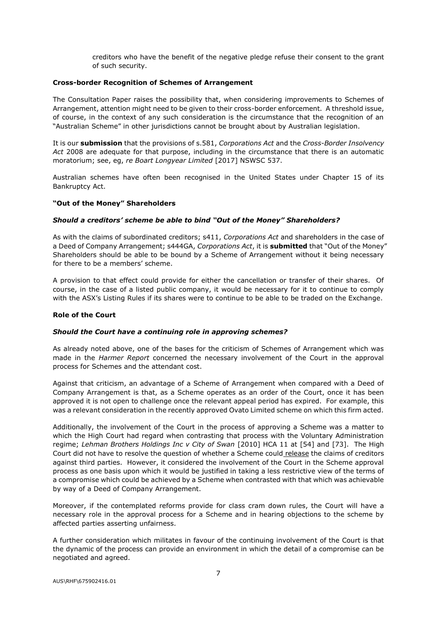creditors who have the benefit of the negative pledge refuse their consent to the grant of such security.

## **Cross-border Recognition of Schemes of Arrangement**

The Consultation Paper raises the possibility that, when considering improvements to Schemes of Arrangement, attention might need to be given to their cross-border enforcement. A threshold issue, of course, in the context of any such consideration is the circumstance that the recognition of an "Australian Scheme" in other jurisdictions cannot be brought about by Australian legislation.

It is our **submission** that the provisions of s.581, *Corporations Act* and the *Cross-Border Insolvency Act* 2008 are adequate for that purpose, including in the circumstance that there is an automatic moratorium; see, eg, *re Boart Longyear Limited* [2017] NSWSC 537.

Australian schemes have often been recognised in the United States under Chapter 15 of its Bankruptcy Act.

# **"Out of the Money" Shareholders**

# *Should a creditors' scheme be able to bind "Out of the Money" Shareholders?*

As with the claims of subordinated creditors; s411, *Corporations Act* and shareholders in the case of a Deed of Company Arrangement; s444GA, *Corporations Act*, it is **submitted** that "Out of the Money" Shareholders should be able to be bound by a Scheme of Arrangement without it being necessary for there to be a members' scheme.

A provision to that effect could provide for either the cancellation or transfer of their shares. Of course, in the case of a listed public company, it would be necessary for it to continue to comply with the ASX's Listing Rules if its shares were to continue to be able to be traded on the Exchange.

## **Role of the Court**

## *Should the Court have a continuing role in approving schemes?*

As already noted above, one of the bases for the criticism of Schemes of Arrangement which was made in the *Harmer Report* concerned the necessary involvement of the Court in the approval process for Schemes and the attendant cost.

Against that criticism, an advantage of a Scheme of Arrangement when compared with a Deed of Company Arrangement is that, as a Scheme operates as an order of the Court, once it has been approved it is not open to challenge once the relevant appeal period has expired. For example, this was a relevant consideration in the recently approved Ovato Limited scheme on which this firm acted.

Additionally, the involvement of the Court in the process of approving a Scheme was a matter to which the High Court had regard when contrasting that process with the Voluntary Administration regime; *Lehman Brothers Holdings Inc v City of Swan* [2010] HCA 11 at [54] and [73]. The High Court did not have to resolve the question of whether a Scheme could release the claims of creditors against third parties. However, it considered the involvement of the Court in the Scheme approval process as one basis upon which it would be justified in taking a less restrictive view of the terms of a compromise which could be achieved by a Scheme when contrasted with that which was achievable by way of a Deed of Company Arrangement.

Moreover, if the contemplated reforms provide for class cram down rules, the Court will have a necessary role in the approval process for a Scheme and in hearing objections to the scheme by affected parties asserting unfairness.

A further consideration which militates in favour of the continuing involvement of the Court is that the dynamic of the process can provide an environment in which the detail of a compromise can be negotiated and agreed.